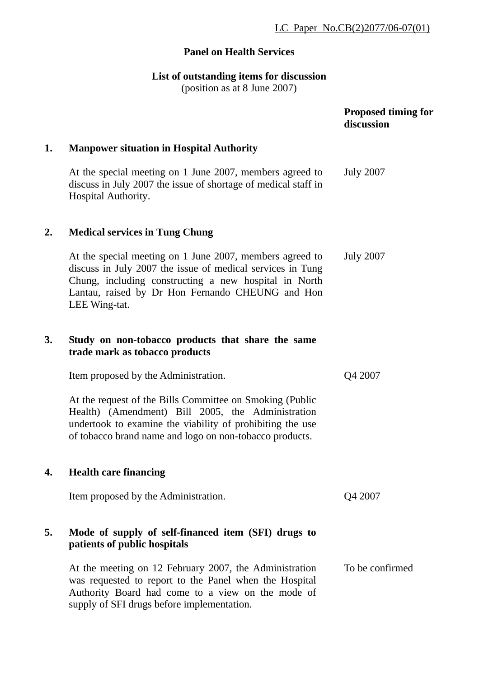## **Panel on Health Services**

## **List of outstanding items for discussion**

(position as at 8 June 2007)

|           |                                                                                                                                                                                                                                                      | <b>Proposed timing for</b><br>discussion |
|-----------|------------------------------------------------------------------------------------------------------------------------------------------------------------------------------------------------------------------------------------------------------|------------------------------------------|
| 1.        | <b>Manpower situation in Hospital Authority</b>                                                                                                                                                                                                      |                                          |
|           | At the special meeting on 1 June 2007, members agreed to<br>discuss in July 2007 the issue of shortage of medical staff in<br>Hospital Authority.                                                                                                    | <b>July 2007</b>                         |
| 2.        | <b>Medical services in Tung Chung</b>                                                                                                                                                                                                                |                                          |
|           | At the special meeting on 1 June 2007, members agreed to<br>discuss in July 2007 the issue of medical services in Tung<br>Chung, including constructing a new hospital in North<br>Lantau, raised by Dr Hon Fernando CHEUNG and Hon<br>LEE Wing-tat. | <b>July 2007</b>                         |
| <b>3.</b> | Study on non-tobacco products that share the same<br>trade mark as tobacco products                                                                                                                                                                  |                                          |
|           | Item proposed by the Administration.                                                                                                                                                                                                                 | Q4 2007                                  |
|           | At the request of the Bills Committee on Smoking (Public<br>Health) (Amendment) Bill 2005, the Administration<br>undertook to examine the viability of prohibiting the use<br>of tobacco brand name and logo on non-tobacco products.                |                                          |
| 4.        | <b>Health care financing</b>                                                                                                                                                                                                                         |                                          |
|           | Item proposed by the Administration.                                                                                                                                                                                                                 | Q4 2007                                  |
| 5.        | Mode of supply of self-financed item (SFI) drugs to<br>patients of public hospitals                                                                                                                                                                  |                                          |
|           | At the meeting on 12 February 2007, the Administration<br>was requested to report to the Panel when the Hospital<br>Authority Board had come to a view on the mode of<br>supply of SFI drugs before implementation.                                  | To be confirmed                          |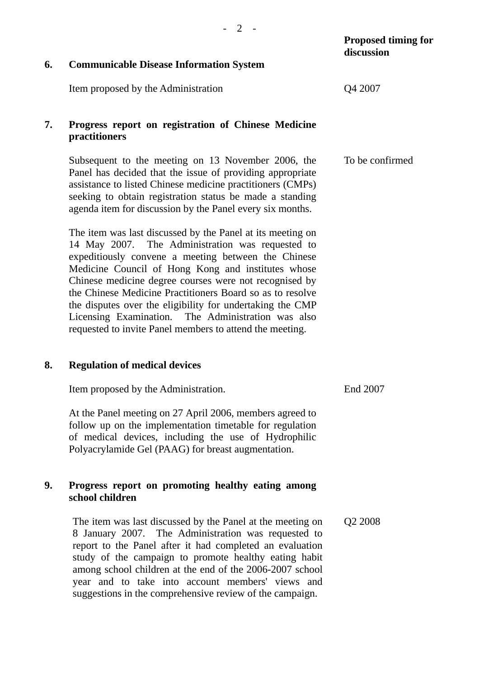| 6. | <b>Communicable Disease Information System</b>                                                                                                                                                                                                                                                                                                                                                                                                                                                                                       | <b>Proposed timing for</b><br>discussion |
|----|--------------------------------------------------------------------------------------------------------------------------------------------------------------------------------------------------------------------------------------------------------------------------------------------------------------------------------------------------------------------------------------------------------------------------------------------------------------------------------------------------------------------------------------|------------------------------------------|
|    |                                                                                                                                                                                                                                                                                                                                                                                                                                                                                                                                      |                                          |
|    | Item proposed by the Administration                                                                                                                                                                                                                                                                                                                                                                                                                                                                                                  | Q4 2007                                  |
| 7. | Progress report on registration of Chinese Medicine<br>practitioners                                                                                                                                                                                                                                                                                                                                                                                                                                                                 |                                          |
|    | Subsequent to the meeting on 13 November 2006, the<br>Panel has decided that the issue of providing appropriate<br>assistance to listed Chinese medicine practitioners (CMPs)<br>seeking to obtain registration status be made a standing<br>agenda item for discussion by the Panel every six months.                                                                                                                                                                                                                               | To be confirmed                          |
|    | The item was last discussed by the Panel at its meeting on<br>14 May 2007. The Administration was requested to<br>expeditiously convene a meeting between the Chinese<br>Medicine Council of Hong Kong and institutes whose<br>Chinese medicine degree courses were not recognised by<br>the Chinese Medicine Practitioners Board so as to resolve<br>the disputes over the eligibility for undertaking the CMP<br>The Administration was also<br>Licensing Examination.<br>requested to invite Panel members to attend the meeting. |                                          |
| 8. | <b>Regulation of medical devices</b>                                                                                                                                                                                                                                                                                                                                                                                                                                                                                                 |                                          |
|    | Item proposed by the Administration.                                                                                                                                                                                                                                                                                                                                                                                                                                                                                                 | End 2007                                 |
|    | At the Panel meeting on 27 April 2006, members agreed to<br>follow up on the implementation timetable for regulation<br>of medical devices, including the use of Hydrophilic<br>Polyacrylamide Gel (PAAG) for breast augmentation.                                                                                                                                                                                                                                                                                                   |                                          |
| 9. | Progress report on promoting healthy eating among<br>school children                                                                                                                                                                                                                                                                                                                                                                                                                                                                 |                                          |
|    | The item was last discussed by the Panel at the meeting on<br>8 January 2007. The Administration was requested to<br>report to the Panel after it had completed an evaluation<br>study of the campaign to promote healthy eating habit<br>among school children at the end of the 2006-2007 school<br>year and to take into account members' views and<br>suggestions in the comprehensive review of the campaign.                                                                                                                   | Q2 2008                                  |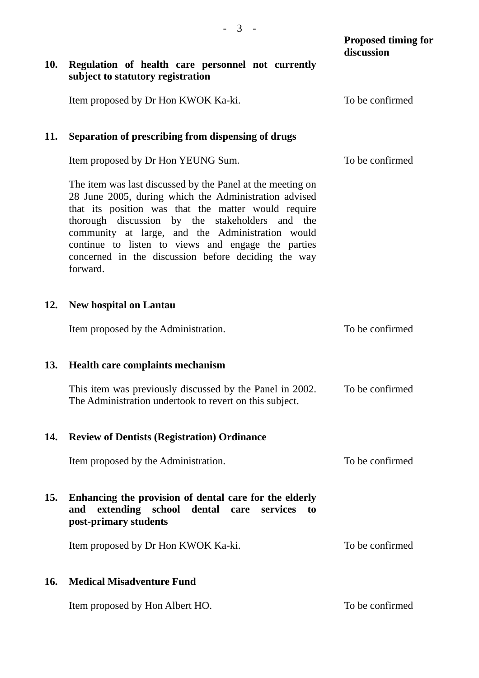|            |                                                                                                                                                                                                                                                                                                                                                                                                            | <b>Proposed timing for</b><br>discussion |
|------------|------------------------------------------------------------------------------------------------------------------------------------------------------------------------------------------------------------------------------------------------------------------------------------------------------------------------------------------------------------------------------------------------------------|------------------------------------------|
| <b>10.</b> | Regulation of health care personnel not currently<br>subject to statutory registration                                                                                                                                                                                                                                                                                                                     |                                          |
|            | Item proposed by Dr Hon KWOK Ka-ki.                                                                                                                                                                                                                                                                                                                                                                        | To be confirmed                          |
| 11.        | Separation of prescribing from dispensing of drugs                                                                                                                                                                                                                                                                                                                                                         |                                          |
|            | Item proposed by Dr Hon YEUNG Sum.                                                                                                                                                                                                                                                                                                                                                                         | To be confirmed                          |
|            | The item was last discussed by the Panel at the meeting on<br>28 June 2005, during which the Administration advised<br>that its position was that the matter would require<br>thorough discussion by the stakeholders and the<br>community at large, and the Administration would<br>continue to listen to views and engage the parties<br>concerned in the discussion before deciding the way<br>forward. |                                          |
| 12.        | <b>New hospital on Lantau</b>                                                                                                                                                                                                                                                                                                                                                                              |                                          |
|            | Item proposed by the Administration.                                                                                                                                                                                                                                                                                                                                                                       | To be confirmed                          |
| 13.        | Health care complaints mechanism                                                                                                                                                                                                                                                                                                                                                                           |                                          |
|            | This item was previously discussed by the Panel in 2002.<br>The Administration undertook to revert on this subject.                                                                                                                                                                                                                                                                                        | To be confirmed                          |
| 14.        | <b>Review of Dentists (Registration) Ordinance</b>                                                                                                                                                                                                                                                                                                                                                         |                                          |
|            | Item proposed by the Administration.                                                                                                                                                                                                                                                                                                                                                                       | To be confirmed                          |
| 15.        | Enhancing the provision of dental care for the elderly<br>extending<br>school<br>dental<br>services<br>and<br>care<br>to<br>post-primary students                                                                                                                                                                                                                                                          |                                          |
|            | Item proposed by Dr Hon KWOK Ka-ki.                                                                                                                                                                                                                                                                                                                                                                        | To be confirmed                          |
| 16.        | <b>Medical Misadventure Fund</b>                                                                                                                                                                                                                                                                                                                                                                           |                                          |
|            | Item proposed by Hon Albert HO.                                                                                                                                                                                                                                                                                                                                                                            | To be confirmed                          |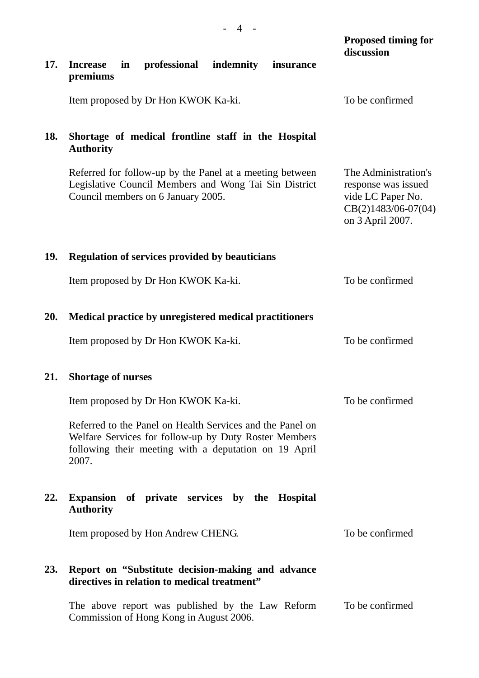|            | $\leftarrow$                                                                                                                                                                         |                                                                                                               |
|------------|--------------------------------------------------------------------------------------------------------------------------------------------------------------------------------------|---------------------------------------------------------------------------------------------------------------|
|            |                                                                                                                                                                                      | <b>Proposed timing for</b><br>discussion                                                                      |
| 17.        | professional<br><b>Increase</b><br>indemnity<br>in<br>insurance<br>premiums                                                                                                          |                                                                                                               |
|            | Item proposed by Dr Hon KWOK Ka-ki.                                                                                                                                                  | To be confirmed                                                                                               |
| 18.        | Shortage of medical frontline staff in the Hospital<br><b>Authority</b>                                                                                                              |                                                                                                               |
|            | Referred for follow-up by the Panel at a meeting between<br>Legislative Council Members and Wong Tai Sin District<br>Council members on 6 January 2005.                              | The Administration's<br>response was issued<br>vide LC Paper No.<br>$CB(2)1483/06-07(04)$<br>on 3 April 2007. |
| <b>19.</b> | <b>Regulation of services provided by beauticians</b>                                                                                                                                |                                                                                                               |
|            | Item proposed by Dr Hon KWOK Ka-ki.                                                                                                                                                  | To be confirmed                                                                                               |
| 20.        | Medical practice by unregistered medical practitioners                                                                                                                               |                                                                                                               |
|            | Item proposed by Dr Hon KWOK Ka-ki.                                                                                                                                                  | To be confirmed                                                                                               |
| 21.        | <b>Shortage of nurses</b>                                                                                                                                                            |                                                                                                               |
|            | Item proposed by Dr Hon KWOK Ka-ki.                                                                                                                                                  | To be confirmed                                                                                               |
|            | Referred to the Panel on Health Services and the Panel on<br>Welfare Services for follow-up by Duty Roster Members<br>following their meeting with a deputation on 19 April<br>2007. |                                                                                                               |
| 22.        | Expansion of private services by the Hospital<br><b>Authority</b>                                                                                                                    |                                                                                                               |
|            | Item proposed by Hon Andrew CHENG.                                                                                                                                                   | To be confirmed                                                                                               |
| 23.        | Report on "Substitute decision-making and advance<br>directives in relation to medical treatment"                                                                                    |                                                                                                               |
|            | The above report was published by the Law Reform<br>Commission of Hong Kong in August 2006.                                                                                          | To be confirmed                                                                                               |